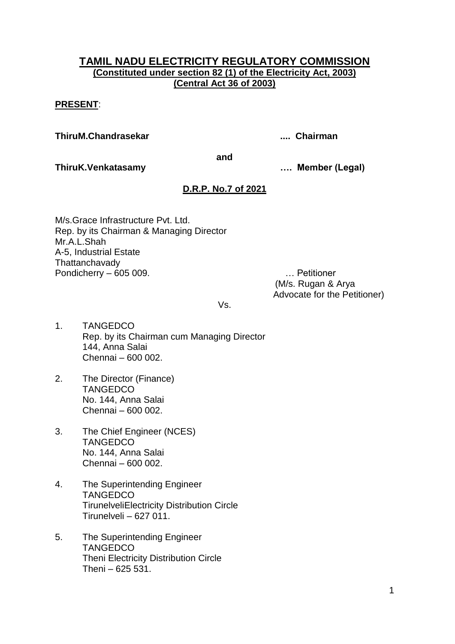## **TAMIL NADU ELECTRICITY REGULATORY COMMISSION (Constituted under section 82 (1) of the Electricity Act, 2003) (Central Act 36 of 2003)**

## **PRESENT**:

**ThiruM.Chandrasekar .... Chairman**

**and**

**ThiruK.Venkatasamy …. Member (Legal)**

# **D.R.P. No.7 of 2021**

M/s.Grace Infrastructure Pvt. Ltd. Rep. by its Chairman & Managing Director Mr.A.L.Shah A-5, Industrial Estate **Thattanchavady** Pondicherry – 605 009. … Petitioner

(M/s. Rugan & Arya Advocate for the Petitioner)

Vs.

- 1. TANGEDCO Rep. by its Chairman cum Managing Director 144, Anna Salai Chennai – 600 002.
- 2. The Director (Finance) **TANGEDCO** No. 144, Anna Salai Chennai – 600 002.
- 3. The Chief Engineer (NCES) **TANGEDCO** No. 144, Anna Salai Chennai – 600 002.
- 4. The Superintending Engineer **TANGEDCO** TirunelveliElectricity Distribution Circle Tirunelveli – 627 011.
- 5. The Superintending Engineer **TANGEDCO** Theni Electricity Distribution Circle Theni – 625 531.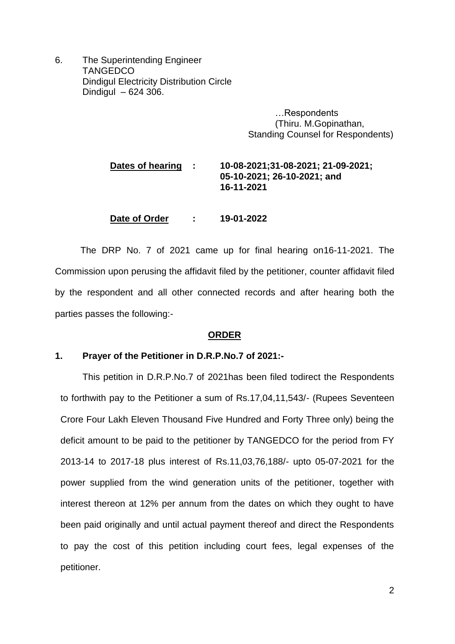6. The Superintending Engineer **TANGEDCO** Dindigul Electricity Distribution Circle Dindigul – 624 306.

> …Respondents (Thiru. M.Gopinathan, Standing Counsel for Respondents)

# **Dates of hearing : 10-08-2021;31-08-2021; 21-09-2021; 05-10-2021; 26-10-2021; and 16-11-2021**

**Date of Order : 19-01-2022**

 The DRP No. 7 of 2021 came up for final hearing on16-11-2021. The Commission upon perusing the affidavit filed by the petitioner, counter affidavit filed by the respondent and all other connected records and after hearing both the parties passes the following:-

#### **ORDER**

### **1. Prayer of the Petitioner in D.R.P.No.7 of 2021:-**

This petition in D.R.P.No.7 of 2021has been filed todirect the Respondents to forthwith pay to the Petitioner a sum of Rs.17,04,11,543/- (Rupees Seventeen Crore Four Lakh Eleven Thousand Five Hundred and Forty Three only) being the deficit amount to be paid to the petitioner by TANGEDCO for the period from FY 2013-14 to 2017-18 plus interest of Rs.11,03,76,188/- upto 05-07-2021 for the power supplied from the wind generation units of the petitioner, together with interest thereon at 12% per annum from the dates on which they ought to have been paid originally and until actual payment thereof and direct the Respondents to pay the cost of this petition including court fees, legal expenses of the petitioner.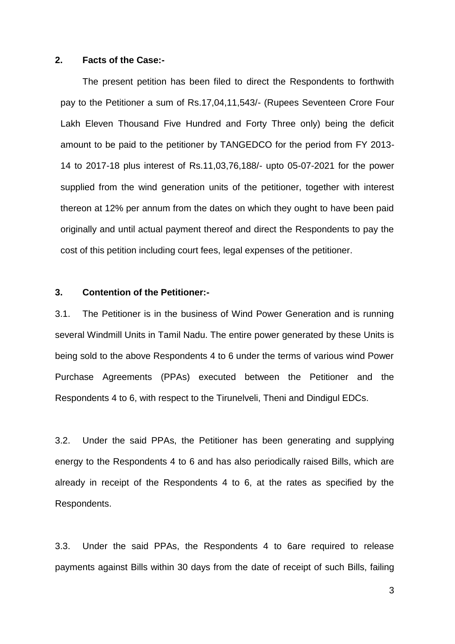#### **2. Facts of the Case:-**

The present petition has been filed to direct the Respondents to forthwith pay to the Petitioner a sum of Rs.17,04,11,543/- (Rupees Seventeen Crore Four Lakh Eleven Thousand Five Hundred and Forty Three only) being the deficit amount to be paid to the petitioner by TANGEDCO for the period from FY 2013- 14 to 2017-18 plus interest of Rs.11,03,76,188/- upto 05-07-2021 for the power supplied from the wind generation units of the petitioner, together with interest thereon at 12% per annum from the dates on which they ought to have been paid originally and until actual payment thereof and direct the Respondents to pay the cost of this petition including court fees, legal expenses of the petitioner.

#### **3. Contention of the Petitioner:-**

3.1. The Petitioner is in the business of Wind Power Generation and is running several Windmill Units in Tamil Nadu. The entire power generated by these Units is being sold to the above Respondents 4 to 6 under the terms of various wind Power Purchase Agreements (PPAs) executed between the Petitioner and the Respondents 4 to 6, with respect to the Tirunelveli, Theni and Dindigul EDCs.

3.2. Under the said PPAs, the Petitioner has been generating and supplying energy to the Respondents 4 to 6 and has also periodically raised Bills, which are already in receipt of the Respondents 4 to 6, at the rates as specified by the Respondents.

3.3. Under the said PPAs, the Respondents 4 to 6are required to release payments against Bills within 30 days from the date of receipt of such Bills, failing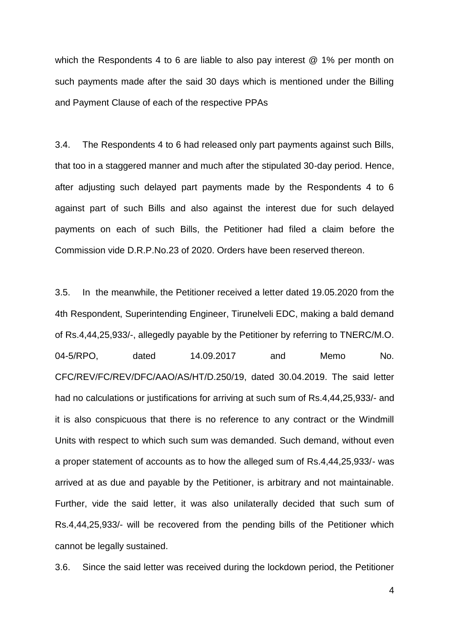which the Respondents 4 to 6 are liable to also pay interest @ 1% per month on such payments made after the said 30 days which is mentioned under the Billing and Payment Clause of each of the respective PPAs

3.4. The Respondents 4 to 6 had released only part payments against such Bills, that too in a staggered manner and much after the stipulated 30-day period. Hence, after adjusting such delayed part payments made by the Respondents 4 to 6 against part of such Bills and also against the interest due for such delayed payments on each of such Bills, the Petitioner had filed a claim before the Commission vide D.R.P.No.23 of 2020. Orders have been reserved thereon.

3.5. In the meanwhile, the Petitioner received a letter dated 19.05.2020 from the 4th Respondent, Superintending Engineer, Tirunelveli EDC, making a bald demand of Rs.4,44,25,933/-, allegedly payable by the Petitioner by referring to TNERC/M.O. 04-5/RPO, dated 14.09.2017 and Memo No. CFC/REV/FC/REV/DFC/AAO/AS/HT/D.250/19, dated 30.04.2019. The said letter had no calculations or justifications for arriving at such sum of Rs.4,44,25,933/- and it is also conspicuous that there is no reference to any contract or the Windmill Units with respect to which such sum was demanded. Such demand, without even a proper statement of accounts as to how the alleged sum of Rs.4,44,25,933/- was arrived at as due and payable by the Petitioner, is arbitrary and not maintainable. Further, vide the said letter, it was also unilaterally decided that such sum of Rs.4,44,25,933/- will be recovered from the pending bills of the Petitioner which cannot be legally sustained.

3.6. Since the said letter was received during the lockdown period, the Petitioner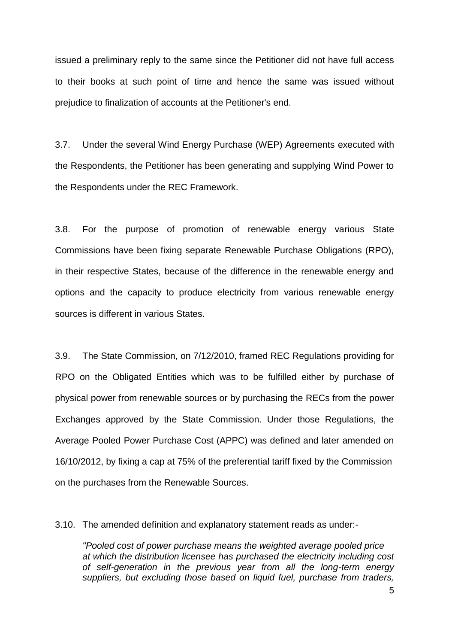issued a preliminary reply to the same since the Petitioner did not have full access to their books at such point of time and hence the same was issued without prejudice to finalization of accounts at the Petitioner's end.

3.7. Under the several Wind Energy Purchase (WEP) Agreements executed with the Respondents, the Petitioner has been generating and supplying Wind Power to the Respondents under the REC Framework.

3.8. For the purpose of promotion of renewable energy various State Commissions have been fixing separate Renewable Purchase Obligations (RPO), in their respective States, because of the difference in the renewable energy and options and the capacity to produce electricity from various renewable energy sources is different in various States.

3.9. The State Commission, on 7/12/2010, framed REC Regulations providing for RPO on the Obligated Entities which was to be fulfilled either by purchase of physical power from renewable sources or by purchasing the RECs from the power Exchanges approved by the State Commission. Under those Regulations, the Average Pooled Power Purchase Cost (APPC) was defined and later amended on 16/10/2012, by fixing a cap at 75% of the preferential tariff fixed by the Commission on the purchases from the Renewable Sources.

3.10. The amended definition and explanatory statement reads as under:-

*"Pooled cost of power purchase means the weighted average pooled price at which the distribution licensee has purchased the electricity including cost of self-generation in the previous year from all the long-term energy suppliers, but excluding those based on liquid fuel, purchase from traders,*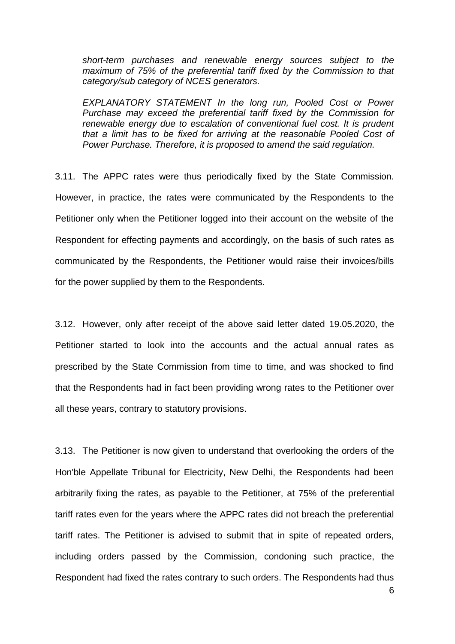*short-term purchases and renewable energy sources subject to the maximum of 75% of the preferential tariff fixed by the Commission to that category/sub category of NCES generators.* 

*EXPLANATORY STATEMENT In the long run, Pooled Cost or Power Purchase may exceed the preferential tariff fixed by the Commission for renewable energy due to escalation of conventional fuel cost. It is prudent that a limit has to be fixed for arriving at the reasonable Pooled Cost of Power Purchase. Therefore, it is proposed to amend the said regulation.* 

3.11. The APPC rates were thus periodically fixed by the State Commission. However, in practice, the rates were communicated by the Respondents to the Petitioner only when the Petitioner logged into their account on the website of the Respondent for effecting payments and accordingly, on the basis of such rates as communicated by the Respondents, the Petitioner would raise their invoices/bills for the power supplied by them to the Respondents.

3.12. However, only after receipt of the above said letter dated 19.05.2020, the Petitioner started to look into the accounts and the actual annual rates as prescribed by the State Commission from time to time, and was shocked to find that the Respondents had in fact been providing wrong rates to the Petitioner over all these years, contrary to statutory provisions.

3.13. The Petitioner is now given to understand that overlooking the orders of the Hon'ble Appellate Tribunal for Electricity, New Delhi, the Respondents had been arbitrarily fixing the rates, as payable to the Petitioner, at 75% of the preferential tariff rates even for the years where the APPC rates did not breach the preferential tariff rates. The Petitioner is advised to submit that in spite of repeated orders, including orders passed by the Commission, condoning such practice, the Respondent had fixed the rates contrary to such orders. The Respondents had thus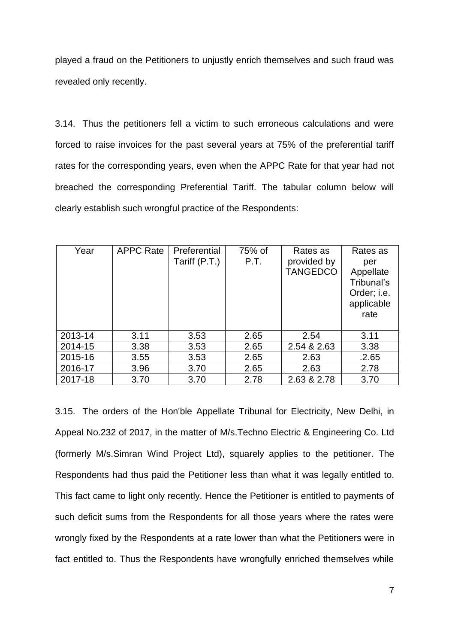played a fraud on the Petitioners to unjustly enrich themselves and such fraud was revealed only recently.

3.14. Thus the petitioners fell a victim to such erroneous calculations and were forced to raise invoices for the past several years at 75% of the preferential tariff rates for the corresponding years, even when the APPC Rate for that year had not breached the corresponding Preferential Tariff. The tabular column below will clearly establish such wrongful practice of the Respondents:

| Year    | <b>APPC Rate</b> | Preferential<br>Tariff (P.T.) | 75% of<br>P.T. | Rates as<br>provided by<br><b>TANGEDCO</b> | Rates as<br>per<br>Appellate<br>Tribunal's<br>Order; i.e.<br>applicable<br>rate |
|---------|------------------|-------------------------------|----------------|--------------------------------------------|---------------------------------------------------------------------------------|
| 2013-14 | 3.11             | 3.53                          | 2.65           | 2.54                                       | 3.11                                                                            |
| 2014-15 | 3.38             | 3.53                          | 2.65           | 2.54 & 2.63                                | 3.38                                                                            |
| 2015-16 | 3.55             | 3.53                          | 2.65           | 2.63                                       | .2.65                                                                           |
| 2016-17 | 3.96             | 3.70                          | 2.65           | 2.63                                       | 2.78                                                                            |
| 2017-18 | 3.70             | 3.70                          | 2.78           | 2.63 & 2.78                                | 3.70                                                                            |

3.15. The orders of the Hon'ble Appellate Tribunal for Electricity, New Delhi, in Appeal No.232 of 2017, in the matter of M/s.Techno Electric & Engineering Co. Ltd (formerly M/s.Simran Wind Project Ltd), squarely applies to the petitioner. The Respondents had thus paid the Petitioner less than what it was legally entitled to. This fact came to light only recently. Hence the Petitioner is entitled to payments of such deficit sums from the Respondents for all those years where the rates were wrongly fixed by the Respondents at a rate lower than what the Petitioners were in fact entitled to. Thus the Respondents have wrongfully enriched themselves while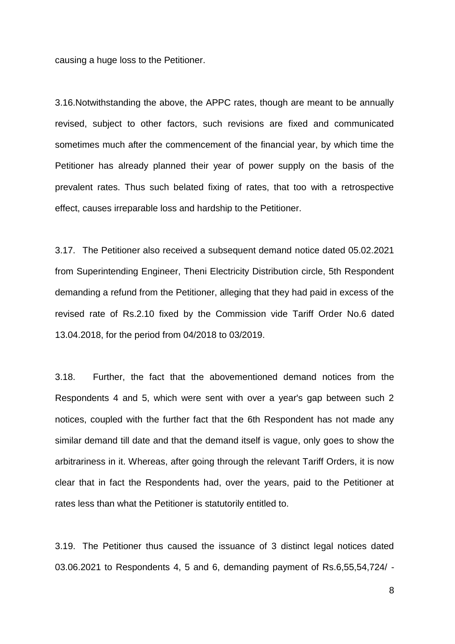causing a huge loss to the Petitioner.

3.16.Notwithstanding the above, the APPC rates, though are meant to be annually revised, subject to other factors, such revisions are fixed and communicated sometimes much after the commencement of the financial year, by which time the Petitioner has already planned their year of power supply on the basis of the prevalent rates. Thus such belated fixing of rates, that too with a retrospective effect, causes irreparable loss and hardship to the Petitioner.

3.17. The Petitioner also received a subsequent demand notice dated 05.02.2021 from Superintending Engineer, Theni Electricity Distribution circle, 5th Respondent demanding a refund from the Petitioner, alleging that they had paid in excess of the revised rate of Rs.2.10 fixed by the Commission vide Tariff Order No.6 dated 13.04.2018, for the period from 04/2018 to 03/2019.

3.18. Further, the fact that the abovementioned demand notices from the Respondents 4 and 5, which were sent with over a year's gap between such 2 notices, coupled with the further fact that the 6th Respondent has not made any similar demand till date and that the demand itself is vague, only goes to show the arbitrariness in it. Whereas, after going through the relevant Tariff Orders, it is now clear that in fact the Respondents had, over the years, paid to the Petitioner at rates less than what the Petitioner is statutorily entitled to.

3.19. The Petitioner thus caused the issuance of 3 distinct legal notices dated 03.06.2021 to Respondents 4, 5 and 6, demanding payment of Rs.6,55,54,724/ -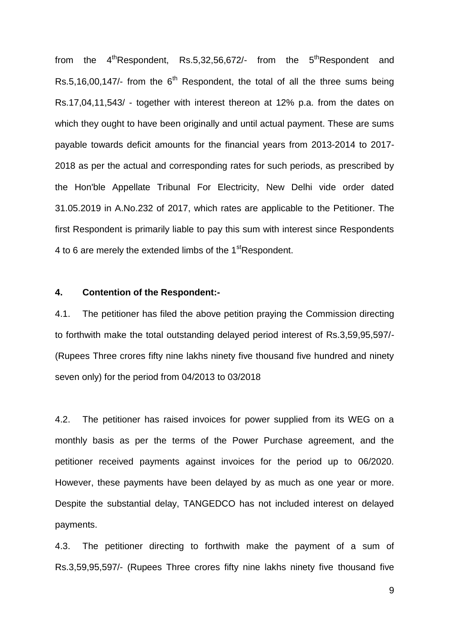from the  $4<sup>th</sup>$ Respondent, Rs.5,32,56,672/- from the  $5<sup>th</sup>$ Respondent and Rs.5,16,00,147/- from the  $6<sup>th</sup>$  Respondent, the total of all the three sums being Rs.17,04,11,543/ - together with interest thereon at 12% p.a. from the dates on which they ought to have been originally and until actual payment. These are sums payable towards deficit amounts for the financial years from 2013-2014 to 2017- 2018 as per the actual and corresponding rates for such periods, as prescribed by the Hon'ble Appellate Tribunal For Electricity, New Delhi vide order dated 31.05.2019 in A.No.232 of 2017, which rates are applicable to the Petitioner. The first Respondent is primarily liable to pay this sum with interest since Respondents 4 to 6 are merely the extended limbs of the 1<sup>st</sup>Respondent.

### **4. Contention of the Respondent:-**

4.1. The petitioner has filed the above petition praying the Commission directing to forthwith make the total outstanding delayed period interest of Rs.3,59,95,597/- (Rupees Three crores fifty nine lakhs ninety five thousand five hundred and ninety seven only) for the period from 04/2013 to 03/2018

4.2. The petitioner has raised invoices for power supplied from its WEG on a monthly basis as per the terms of the Power Purchase agreement, and the petitioner received payments against invoices for the period up to 06/2020. However, these payments have been delayed by as much as one year or more. Despite the substantial delay, TANGEDCO has not included interest on delayed payments.

4.3. The petitioner directing to forthwith make the payment of a sum of Rs.3,59,95,597/- (Rupees Three crores fifty nine lakhs ninety five thousand five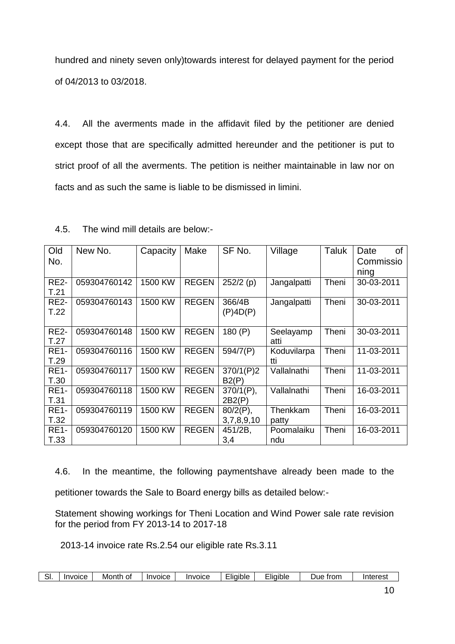hundred and ninety seven only)towards interest for delayed payment for the period of 04/2013 to 03/2018.

4.4. All the averments made in the affidavit filed by the petitioner are denied except those that are specifically admitted hereunder and the petitioner is put to strict proof of all the averments. The petition is neither maintainable in law nor on facts and as such the same is liable to be dismissed in limini.

| Old<br>No.          | New No.      | Capacity | Make         | SF No.                    | Village            | Taluk | 0f<br>Date<br>Commissio<br>ning |
|---------------------|--------------|----------|--------------|---------------------------|--------------------|-------|---------------------------------|
| <b>RE2-</b><br>T.21 | 059304760142 | 1500 KW  | <b>REGEN</b> | $252/2$ (p)               | Jangalpatti        | Theni | 30-03-2011                      |
| <b>RE2-</b><br>T.22 | 059304760143 | 1500 KW  | <b>REGEN</b> | 366/4B<br>$(P)$ 4D $(P)$  | Jangalpatti        | Theni | 30-03-2011                      |
| <b>RE2-</b><br>T.27 | 059304760148 | 1500 KW  | <b>REGEN</b> | 180(P)                    | Seelayamp<br>atti  | Theni | 30-03-2011                      |
| <b>RE1-</b><br>T.29 | 059304760116 | 1500 KW  | <b>REGEN</b> | 594/7(P)                  | Koduvilarpa<br>tti | Theni | 11-03-2011                      |
| <b>RE1-</b><br>T.30 | 059304760117 | 1500 KW  | <b>REGEN</b> | 370/1(P)2<br>B2(P)        | Vallalnathi        | Theni | 11-03-2011                      |
| <b>RE1-</b><br>T.31 | 059304760118 | 1500 KW  | <b>REGEN</b> | $370/1(P)$ ,<br>2B2(P)    | Vallalnathi        | Theni | 16-03-2011                      |
| <b>RE1-</b><br>T.32 | 059304760119 | 1500 KW  | <b>REGEN</b> | $80/2(P)$ ,<br>3,7,8,9,10 | Thenkkam<br>patty  | Theni | 16-03-2011                      |
| <b>RE1-</b><br>T.33 | 059304760120 | 1500 KW  | <b>REGEN</b> | 451/2B,<br>3,4            | Poomalaiku<br>ndu  | Theni | 16-03-2011                      |

4.5. The wind mill details are below:-

4.6. In the meantime, the following paymentshave already been made to the petitioner towards the Sale to Board energy bills as detailed below:-

Statement showing workings for Theni Location and Wind Power sale rate revision for the period from FY 2013-14 to 2017-18

2013-14 invoice rate Rs.2.54 our eligible rate Rs.3.11

| . ات | Invoice | Month<br>Οt | <i><b>Invoice</b></i> | Invoice | .liaible | liaible | trom<br>JUE | Interest |
|------|---------|-------------|-----------------------|---------|----------|---------|-------------|----------|
|------|---------|-------------|-----------------------|---------|----------|---------|-------------|----------|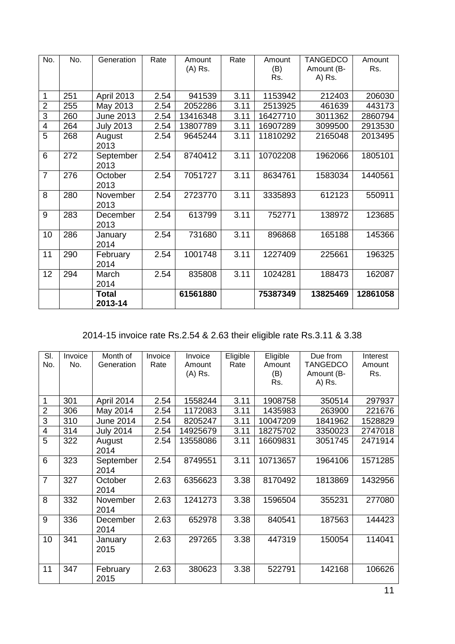| No.                     | No. | Generation        | Rate | Amount<br>(A) Rs. | Rate | Amount<br>(B)<br>Rs. | <b>TANGEDCO</b><br>Amount (B-<br>A) Rs. | Amount<br>Rs. |
|-------------------------|-----|-------------------|------|-------------------|------|----------------------|-----------------------------------------|---------------|
| 1                       | 251 | <b>April 2013</b> | 2.54 | 941539            | 3.11 | 1153942              | 212403                                  | 206030        |
| $\overline{2}$          | 255 | May 2013          | 2.54 | 2052286           | 3.11 | 2513925              | 461639                                  | 443173        |
| 3                       | 260 | <b>June 2013</b>  | 2.54 | 13416348          | 3.11 | 16427710             | 3011362                                 | 2860794       |
| $\overline{\mathbf{4}}$ | 264 | <b>July 2013</b>  | 2.54 | 13807789          | 3.11 | 16907289             | 3099500                                 | 2913530       |
| 5                       | 268 | August<br>2013    | 2.54 | 9645244           | 3.11 | 11810292             | 2165048                                 | 2013495       |
| 6                       | 272 | September<br>2013 | 2.54 | 8740412           | 3.11 | 10702208             | 1962066                                 | 1805101       |
| $\overline{7}$          | 276 | October<br>2013   | 2.54 | 7051727           | 3.11 | 8634761              | 1583034                                 | 1440561       |
| 8                       | 280 | November<br>2013  | 2.54 | 2723770           | 3.11 | 3335893              | 612123                                  | 550911        |
| 9                       | 283 | December<br>2013  | 2.54 | 613799            | 3.11 | 752771               | 138972                                  | 123685        |
| 10                      | 286 | January<br>2014   | 2.54 | 731680            | 3.11 | 896868               | 165188                                  | 145366        |
| 11                      | 290 | February<br>2014  | 2.54 | 1001748           | 3.11 | 1227409              | 225661                                  | 196325        |
| 12                      | 294 | March<br>2014     | 2.54 | 835808            | 3.11 | 1024281              | 188473                                  | 162087        |
|                         |     | Total<br>2013-14  |      | 61561880          |      | 75387349             | 13825469                                | 12861058      |

2014-15 invoice rate Rs.2.54 & 2.63 their eligible rate Rs.3.11 & 3.38

| SI.            | Invoice | Month of         | Invoice | Invoice  | Eligible | Eligible | Due from        | Interest |
|----------------|---------|------------------|---------|----------|----------|----------|-----------------|----------|
| No.            | No.     | Generation       | Rate    | Amount   | Rate     | Amount   | <b>TANGEDCO</b> | Amount   |
|                |         |                  |         | (A) Rs.  |          | (B)      | Amount (B-      | Rs.      |
|                |         |                  |         |          |          | Rs.      | A) Rs.          |          |
|                |         |                  |         |          |          |          |                 |          |
| $\mathbf 1$    | 301     | April 2014       | 2.54    | 1558244  | 3.11     | 1908758  | 350514          | 297937   |
| $\overline{2}$ | 306     | May 2014         | 2.54    | 1172083  | 3.11     | 1435983  | 263900          | 221676   |
| $\overline{3}$ | 310     | <b>June 2014</b> | 2.54    | 8205247  | 3.11     | 10047209 | 1841962         | 1528829  |
| $\overline{4}$ | 314     | <b>July 2014</b> | 2.54    | 14925679 | 3.11     | 18275702 | 3350023         | 2747018  |
| 5              | 322     | August           | 2.54    | 13558086 | 3.11     | 16609831 | 3051745         | 2471914  |
|                |         | 2014             |         |          |          |          |                 |          |
| 6              | 323     | September        | 2.54    | 8749551  | 3.11     | 10713657 | 1964106         | 1571285  |
|                |         | 2014             |         |          |          |          |                 |          |
| $\overline{7}$ | 327     | October          | 2.63    | 6356623  | 3.38     | 8170492  | 1813869         | 1432956  |
|                |         | 2014             |         |          |          |          |                 |          |
| 8              | 332     | November         | 2.63    | 1241273  | 3.38     | 1596504  | 355231          | 277080   |
|                |         | 2014             |         |          |          |          |                 |          |
| 9              | 336     | December         | 2.63    | 652978   | 3.38     | 840541   | 187563          | 144423   |
|                |         | 2014             |         |          |          |          |                 |          |
| 10             | 341     | January          | 2.63    | 297265   | 3.38     | 447319   | 150054          | 114041   |
|                |         | 2015             |         |          |          |          |                 |          |
|                |         |                  |         |          |          |          |                 |          |
| 11             | 347     | February         | 2.63    | 380623   | 3.38     | 522791   | 142168          | 106626   |
|                |         | 2015             |         |          |          |          |                 |          |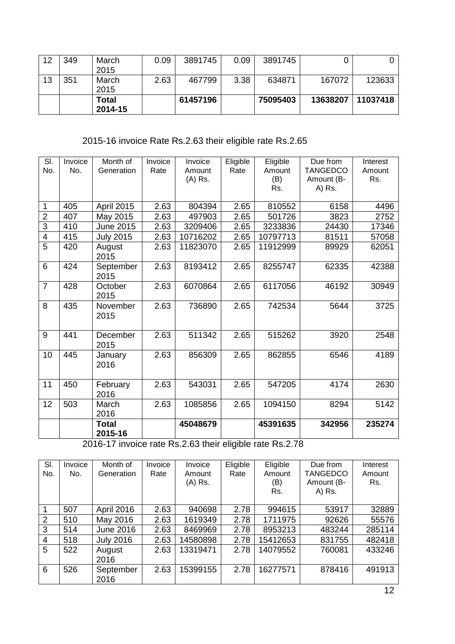| 12 | 349 | March<br>2015    | 0.09 | 3891745  | 0.09 | 3891745  |          |          |
|----|-----|------------------|------|----------|------|----------|----------|----------|
| 13 | 351 | March<br>2015    | 2.63 | 467799   | 3.38 | 634871   | 167072   | 123633   |
|    |     | Total<br>2014-15 |      | 61457196 |      | 75095403 | 13638207 | 11037418 |

2015-16 invoice Rate Rs.2.63 their eligible rate Rs.2.65

| SI.            | Invoice | Month of                | Invoice | Invoice  | Eligible | Eligible | Due from        | Interest |
|----------------|---------|-------------------------|---------|----------|----------|----------|-----------------|----------|
| No.            | No.     | Generation              | Rate    | Amount   | Rate     | Amount   | <b>TANGEDCO</b> | Amount   |
|                |         |                         |         | (A) Rs.  |          | (B)      | Amount (B-      | Rs.      |
|                |         |                         |         |          |          | Rs.      | A) Rs.          |          |
|                |         |                         |         |          |          |          |                 |          |
| 1              | 405     | <b>April 2015</b>       | 2.63    | 804394   | 2.65     | 810552   | 6158            | 4496     |
| $\overline{2}$ | 407     | May 2015                | 2.63    | 497903   | 2.65     | 501726   | 3823            | 2752     |
| $\overline{3}$ | 410     | <b>June 2015</b>        | 2.63    | 3209406  | 2.65     | 3233836  | 24430           | 17346    |
| $\overline{4}$ | 415     | <b>July 2015</b>        | 2.63    | 10716202 | 2.65     | 10797713 | 81511           | 57058    |
| 5              | 420     | August<br>2015          | 2.63    | 11823070 | 2.65     | 11912999 | 89929           | 62051    |
| 6              | 424     | September<br>2015       | 2.63    | 8193412  | 2.65     | 8255747  | 62335           | 42388    |
| $\overline{7}$ | 428     | October<br>2015         | 2.63    | 6070864  | 2.65     | 6117056  | 46192           | 30949    |
| 8              | 435     | November<br>2015        | 2.63    | 736890   | 2.65     | 742534   | 5644            | 3725     |
| 9              | 441     | December<br>2015        | 2.63    | 511342   | 2.65     | 515262   | 3920            | 2548     |
| 10             | 445     | January<br>2016         | 2.63    | 856309   | 2.65     | 862855   | 6546            | 4189     |
| 11             | 450     | February<br>2016        | 2.63    | 543031   | 2.65     | 547205   | 4174            | 2630     |
| 12             | 503     | March<br>2016           | 2.63    | 1085856  | 2.65     | 1094150  | 8294            | 5142     |
|                |         | <b>Total</b><br>2015-16 |         | 45048679 |          | 45391635 | 342956          | 235274   |

2016-17 invoice rate Rs.2.63 their eligible rate Rs.2.78

| SI.<br>No.     | Invoice<br>No. | Month of<br>Generation | Invoice<br>Rate | Invoice<br>Amount<br>(A) Rs. | Eligible<br>Rate | Eligible<br>Amount<br>(B)<br>Rs. | Due from<br><b>TANGEDCO</b><br>Amount (B-<br>A) Rs. | Interest<br>Amount<br>Rs. |
|----------------|----------------|------------------------|-----------------|------------------------------|------------------|----------------------------------|-----------------------------------------------------|---------------------------|
| -1             | 507            | April 2016             | 2.63            | 940698                       | 2.78             | 994615                           | 53917                                               | 32889                     |
| $\overline{2}$ | 510            | May 2016               | 2.63            | 1619349                      | 2.78             | 1711975                          | 92626                                               | 55576                     |
| 3              | 514            | <b>June 2016</b>       | 2.63            | 8469969                      | 2.78             | 8953213                          | 483244                                              | 285114                    |
| $\overline{4}$ | 518            | <b>July 2016</b>       | 2.63            | 14580898                     | 2.78             | 15412653                         | 831755                                              | 482418                    |
| 5              | 522            | August<br>2016         | 2.63            | 13319471                     | 2.78             | 14079552                         | 760081                                              | 433246                    |
| 6              | 526            | September<br>2016      | 2.63            | 15399155                     | 2.78             | 16277571                         | 878416                                              | 491913                    |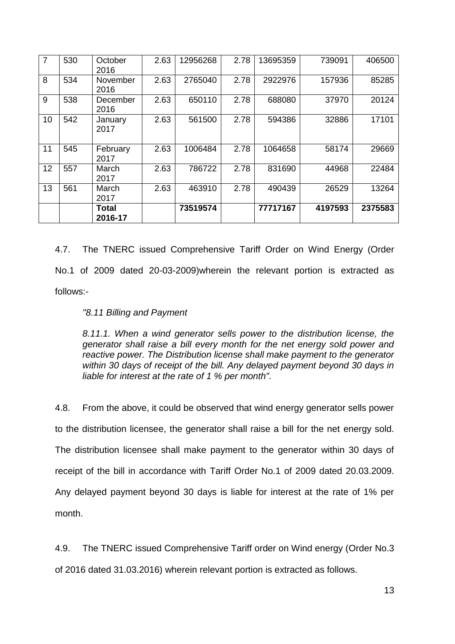| $\overline{7}$ | 530 | October<br>2016  | 2.63 | 12956268 | 2.78 | 13695359 | 739091  | 406500  |
|----------------|-----|------------------|------|----------|------|----------|---------|---------|
| 8              | 534 | November<br>2016 | 2.63 | 2765040  | 2.78 | 2922976  | 157936  | 85285   |
| 9              | 538 | December<br>2016 | 2.63 | 650110   | 2.78 | 688080   | 37970   | 20124   |
| 10             | 542 | January<br>2017  | 2.63 | 561500   | 2.78 | 594386   | 32886   | 17101   |
| 11             | 545 | February<br>2017 | 2.63 | 1006484  | 2.78 | 1064658  | 58174   | 29669   |
| 12             | 557 | March<br>2017    | 2.63 | 786722   | 2.78 | 831690   | 44968   | 22484   |
| 13             | 561 | March<br>2017    | 2.63 | 463910   | 2.78 | 490439   | 26529   | 13264   |
|                |     | Total<br>2016-17 |      | 73519574 |      | 77717167 | 4197593 | 2375583 |

4.7. The TNERC issued Comprehensive Tariff Order on Wind Energy (Order No.1 of 2009 dated 20-03-2009)wherein the relevant portion is extracted as follows:-

### *"8.11 Billing and Payment*

*8.11.1. When a wind generator sells power to the distribution license, the generator shall raise a bill every month for the net energy sold power and reactive power. The Distribution license shall make payment to the generator within 30 days of receipt of the bill. Any delayed payment beyond 30 days in liable for interest at the rate of 1 % per month".* 

4.8. From the above, it could be observed that wind energy generator sells power to the distribution licensee, the generator shall raise a bill for the net energy sold. The distribution licensee shall make payment to the generator within 30 days of receipt of the bill in accordance with Tariff Order No.1 of 2009 dated 20.03.2009. Any delayed payment beyond 30 days is liable for interest at the rate of 1% per month.

4.9. The TNERC issued Comprehensive Tariff order on Wind energy (Order No.3 of 2016 dated 31.03.2016) wherein relevant portion is extracted as follows.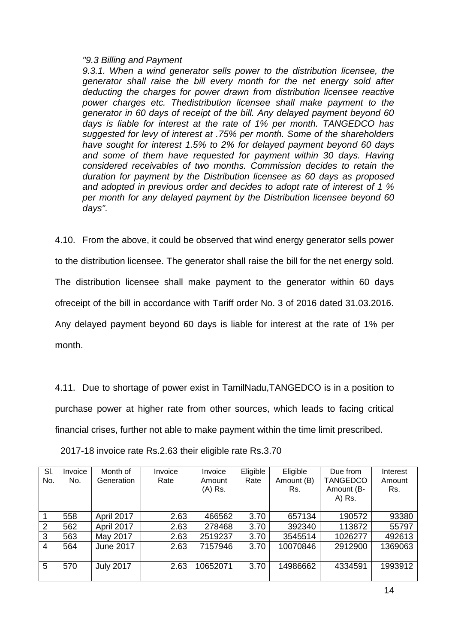#### *"9.3 Billing and Payment*

*9.3.1. When a wind generator sells power to the distribution licensee, the generator shall raise the bill every month for the net energy sold after deducting the charges for power drawn from distribution licensee reactive power charges etc. Thedistribution licensee shall make payment to the generator in 60 days of receipt of the bill. Any delayed payment beyond 60 days is liable for interest at the rate of 1% per month. TANGEDCO has suggested for levy of interest at .75% per month. Some of the shareholders have sought for interest 1.5% to 2% for delayed payment beyond 60 days*  and some of them have requested for payment within 30 days. Having *considered receivables of two months. Commission decides to retain the duration for payment by the Distribution licensee as 60 days as proposed and adopted in previous order and decides to adopt rate of interest of 1 % per month for any delayed payment by the Distribution licensee beyond 60 days".* 

4.10. From the above, it could be observed that wind energy generator sells power to the distribution licensee. The generator shall raise the bill for the net energy sold. The distribution licensee shall make payment to the generator within 60 days ofreceipt of the bill in accordance with Tariff order No. 3 of 2016 dated 31.03.2016. Any delayed payment beyond 60 days is liable for interest at the rate of 1% per month.

4.11. Due to shortage of power exist in TamilNadu,TANGEDCO is in a position to purchase power at higher rate from other sources, which leads to facing critical financial crises, further not able to make payment within the time limit prescribed.

| SI.<br>No.     | Invoice<br>No. | Month of<br>Generation | Invoice<br>Rate | Invoice<br>Amount<br>(A) Rs. | Eligible<br>Rate | Eligible<br>Amount (B)<br>Rs. | Due from<br><b>TANGEDCO</b><br>Amount (B-<br>A) Rs. | Interest<br>Amount<br>Rs. |
|----------------|----------------|------------------------|-----------------|------------------------------|------------------|-------------------------------|-----------------------------------------------------|---------------------------|
|                | 558            | April 2017             | 2.63            | 466562                       | 3.70             | 657134                        | 190572                                              | 93380                     |
| 2              | 562            | April 2017             | 2.63            | 278468                       | 3.70             | 392340                        | 113872                                              | 55797                     |
| $\mathbf{3}$   | 563            | May 2017               | 2.63            | 2519237                      | 3.70             | 3545514                       | 1026277                                             | 492613                    |
| $\overline{4}$ | 564            | <b>June 2017</b>       | 2.63            | 7157946                      | 3.70             | 10070846                      | 2912900                                             | 1369063                   |
| 5              | 570            | <b>July 2017</b>       | 2.63            | 10652071                     | 3.70             | 14986662                      | 4334591                                             | 1993912                   |

2017-18 invoice rate Rs.2.63 their eligible rate Rs.3.70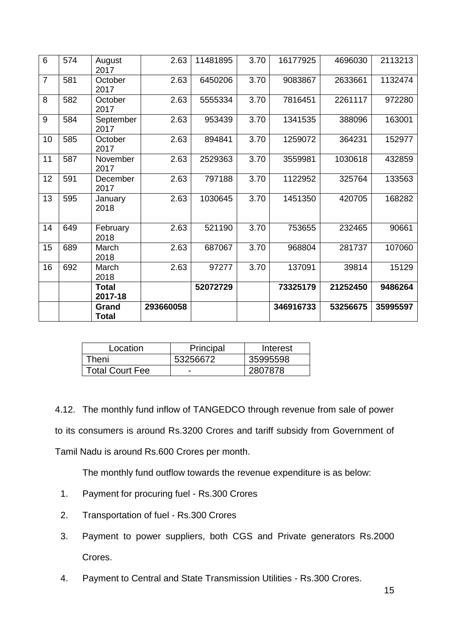| $6\phantom{1}6$ | 574 | August<br>2017        | 2.63      | 11481895 | 3.70 | 16177925  | 4696030  | 2113213  |
|-----------------|-----|-----------------------|-----------|----------|------|-----------|----------|----------|
| $\overline{7}$  | 581 | October<br>2017       | 2.63      | 6450206  | 3.70 | 9083867   | 2633661  | 1132474  |
| 8               | 582 | October<br>2017       | 2.63      | 5555334  | 3.70 | 7816451   | 2261117  | 972280   |
| 9               | 584 | September<br>2017     | 2.63      | 953439   | 3.70 | 1341535   | 388096   | 163001   |
| 10              | 585 | October<br>2017       | 2.63      | 894841   | 3.70 | 1259072   | 364231   | 152977   |
| 11              | 587 | November<br>2017      | 2.63      | 2529363  | 3.70 | 3559981   | 1030618  | 432859   |
| 12              | 591 | December<br>2017      | 2.63      | 797188   | 3.70 | 1122952   | 325764   | 133563   |
| 13              | 595 | January<br>2018       | 2.63      | 1030645  | 3.70 | 1451350   | 420705   | 168282   |
| 14              | 649 | February<br>2018      | 2.63      | 521190   | 3.70 | 753655    | 232465   | 90661    |
| 15              | 689 | March<br>2018         | 2.63      | 687067   | 3.70 | 968804    | 281737   | 107060   |
| 16              | 692 | March<br>2018         | 2.63      | 97277    | 3.70 | 137091    | 39814    | 15129    |
|                 |     | Total<br>2017-18      |           | 52072729 |      | 73325179  | 21252450 | 9486264  |
|                 |     | Grand<br><b>Total</b> | 293660058 |          |      | 346916733 | 53256675 | 35995597 |

| Location        | Principal                | Interest |
|-----------------|--------------------------|----------|
| `heni           | 53256672                 | 35995598 |
| Total Court Fee | $\overline{\phantom{a}}$ | 2807878  |

4.12. The monthly fund inflow of TANGEDCO through revenue from sale of power to its consumers is around Rs.3200 Crores and tariff subsidy from Government of Tamil Nadu is around Rs.600 Crores per month.

The monthly fund outflow towards the revenue expenditure is as below:

- 1. Payment for procuring fuel Rs.300 Crores
- 2. Transportation of fuel Rs.300 Crores
- 3. Payment to power suppliers, both CGS and Private generators Rs.2000 Crores.
- 4. Payment to Central and State Transmission Utilities Rs.300 Crores.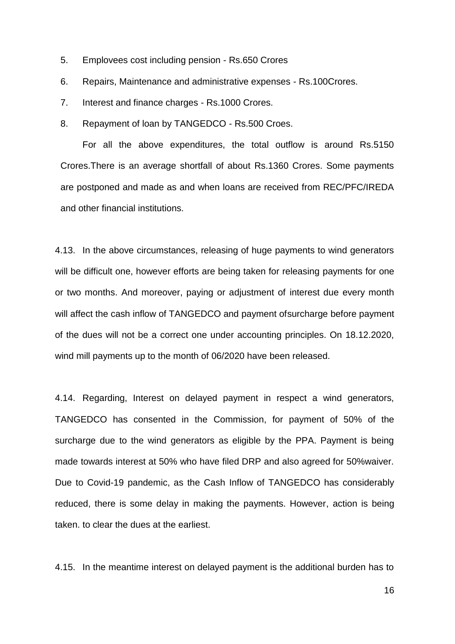- 5. Emplovees cost including pension Rs.650 Crores
- 6. Repairs, Maintenance and administrative expenses Rs.100Crores.
- 7. Interest and finance charges Rs.1000 Crores.
- 8. Repayment of loan by TANGEDCO Rs.500 Croes.

For all the above expenditures, the total outflow is around Rs.5150 Crores.There is an average shortfall of about Rs.1360 Crores. Some payments are postponed and made as and when loans are received from REC/PFC/IREDA and other financial institutions.

4.13. In the above circumstances, releasing of huge payments to wind generators will be difficult one, however efforts are being taken for releasing payments for one or two months. And moreover, paying or adjustment of interest due every month will affect the cash inflow of TANGEDCO and payment ofsurcharge before payment of the dues will not be a correct one under accounting principles. On 18.12.2020, wind mill payments up to the month of 06/2020 have been released.

4.14. Regarding, Interest on delayed payment in respect a wind generators, TANGEDCO has consented in the Commission, for payment of 50% of the surcharge due to the wind generators as eligible by the PPA. Payment is being made towards interest at 50% who have filed DRP and also agreed for 50%waiver. Due to Covid-19 pandemic, as the Cash Inflow of TANGEDCO has considerably reduced, there is some delay in making the payments. However, action is being taken. to clear the dues at the earliest.

4.15. In the meantime interest on delayed payment is the additional burden has to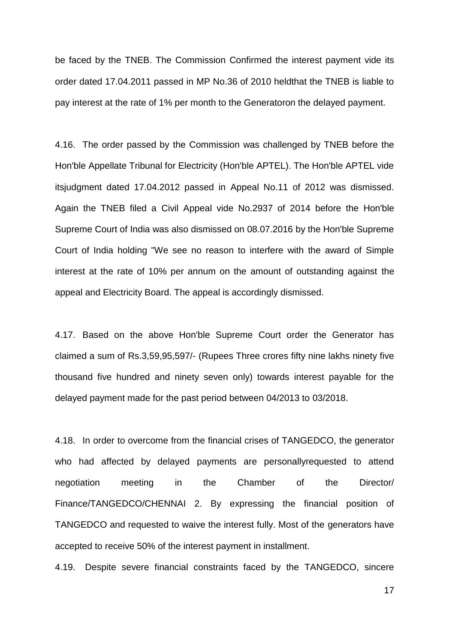be faced by the TNEB. The Commission Confirmed the interest payment vide its order dated 17.04.2011 passed in MP No.36 of 2010 heldthat the TNEB is liable to pay interest at the rate of 1% per month to the Generatoron the delayed payment.

4.16. The order passed by the Commission was challenged by TNEB before the Hon'ble Appellate Tribunal for Electricity (Hon'ble APTEL). The Hon'ble APTEL vide itsjudgment dated 17.04.2012 passed in Appeal No.11 of 2012 was dismissed. Again the TNEB filed a Civil Appeal vide No.2937 of 2014 before the Hon'ble Supreme Court of India was also dismissed on 08.07.2016 by the Hon'ble Supreme Court of India holding "We see no reason to interfere with the award of Simple interest at the rate of 10% per annum on the amount of outstanding against the appeal and Electricity Board. The appeal is accordingly dismissed.

4.17. Based on the above Hon'ble Supreme Court order the Generator has claimed a sum of Rs.3,59,95,597/- (Rupees Three crores fifty nine lakhs ninety five thousand five hundred and ninety seven only) towards interest payable for the delayed payment made for the past period between 04/2013 to 03/2018.

4.18. In order to overcome from the financial crises of TANGEDCO, the generator who had affected by delayed payments are personallyrequested to attend negotiation meeting in the Chamber of the Director/ Finance/TANGEDCO/CHENNAI 2. By expressing the financial position of TANGEDCO and requested to waive the interest fully. Most of the generators have accepted to receive 50% of the interest payment in installment.

4.19. Despite severe financial constraints faced by the TANGEDCO, sincere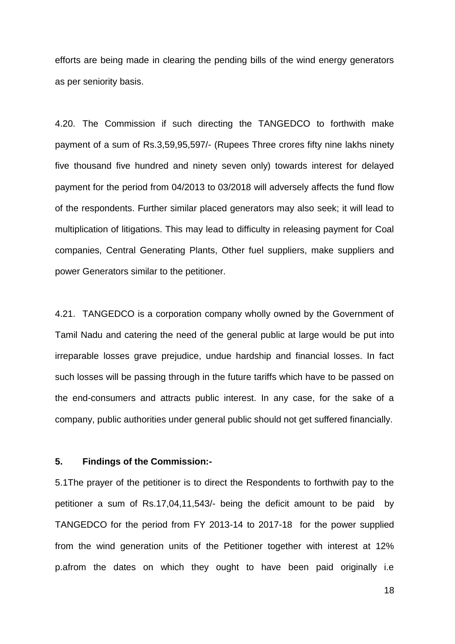efforts are being made in clearing the pending bills of the wind energy generators as per seniority basis.

4.20. The Commission if such directing the TANGEDCO to forthwith make payment of a sum of Rs.3,59,95,597/- (Rupees Three crores fifty nine lakhs ninety five thousand five hundred and ninety seven only) towards interest for delayed payment for the period from 04/2013 to 03/2018 will adversely affects the fund flow of the respondents. Further similar placed generators may also seek; it will lead to multiplication of litigations. This may lead to difficulty in releasing payment for Coal companies, Central Generating Plants, Other fuel suppliers, make suppliers and power Generators similar to the petitioner.

4.21. TANGEDCO is a corporation company wholly owned by the Government of Tamil Nadu and catering the need of the general public at large would be put into irreparable losses grave prejudice, undue hardship and financial losses. In fact such losses will be passing through in the future tariffs which have to be passed on the end-consumers and attracts public interest. In any case, for the sake of a company, public authorities under general public should not get suffered financially.

### **5. Findings of the Commission:-**

5.1The prayer of the petitioner is to direct the Respondents to forthwith pay to the petitioner a sum of Rs.17,04,11,543/- being the deficit amount to be paid by TANGEDCO for the period from FY 2013-14 to 2017-18 for the power supplied from the wind generation units of the Petitioner together with interest at 12% p.afrom the dates on which they ought to have been paid originally i.e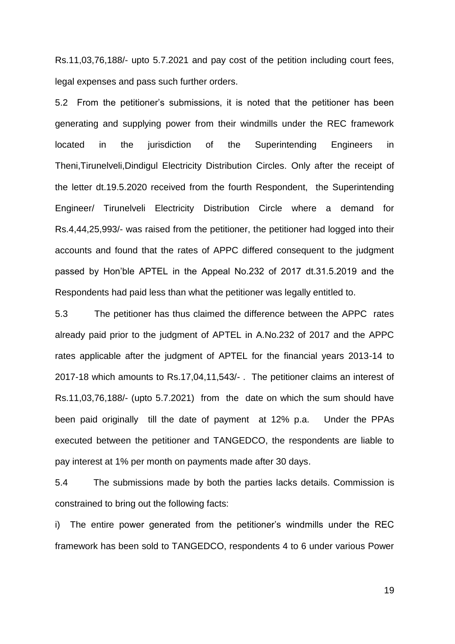Rs.11,03,76,188/- upto 5.7.2021 and pay cost of the petition including court fees, legal expenses and pass such further orders.

5.2 From the petitioner's submissions, it is noted that the petitioner has been generating and supplying power from their windmills under the REC framework located in the jurisdiction of the Superintending Engineers in Theni,Tirunelveli,Dindigul Electricity Distribution Circles. Only after the receipt of the letter dt.19.5.2020 received from the fourth Respondent, the Superintending Engineer/ Tirunelveli Electricity Distribution Circle where a demand for Rs.4,44,25,993/- was raised from the petitioner, the petitioner had logged into their accounts and found that the rates of APPC differed consequent to the judgment passed by Hon'ble APTEL in the Appeal No.232 of 2017 dt.31.5.2019 and the Respondents had paid less than what the petitioner was legally entitled to.

5.3 The petitioner has thus claimed the difference between the APPC rates already paid prior to the judgment of APTEL in A.No.232 of 2017 and the APPC rates applicable after the judgment of APTEL for the financial years 2013-14 to 2017-18 which amounts to Rs.17,04,11,543/- . The petitioner claims an interest of Rs.11,03,76,188/- (upto 5.7.2021) from the date on which the sum should have been paid originally till the date of payment at 12% p.a. Under the PPAs executed between the petitioner and TANGEDCO, the respondents are liable to pay interest at 1% per month on payments made after 30 days.

5.4 The submissions made by both the parties lacks details. Commission is constrained to bring out the following facts:

i) The entire power generated from the petitioner's windmills under the REC framework has been sold to TANGEDCO, respondents 4 to 6 under various Power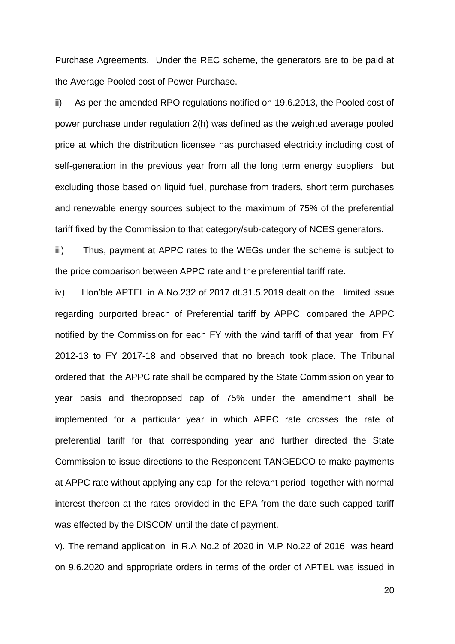Purchase Agreements. Under the REC scheme, the generators are to be paid at the Average Pooled cost of Power Purchase.

ii) As per the amended RPO regulations notified on 19.6.2013, the Pooled cost of power purchase under regulation 2(h) was defined as the weighted average pooled price at which the distribution licensee has purchased electricity including cost of self-generation in the previous year from all the long term energy suppliers but excluding those based on liquid fuel, purchase from traders, short term purchases and renewable energy sources subject to the maximum of 75% of the preferential tariff fixed by the Commission to that category/sub-category of NCES generators.

iii) Thus, payment at APPC rates to the WEGs under the scheme is subject to the price comparison between APPC rate and the preferential tariff rate.

iv) Hon'ble APTEL in A.No.232 of 2017 dt.31.5.2019 dealt on the limited issue regarding purported breach of Preferential tariff by APPC, compared the APPC notified by the Commission for each FY with the wind tariff of that year from FY 2012-13 to FY 2017-18 and observed that no breach took place. The Tribunal ordered that the APPC rate shall be compared by the State Commission on year to year basis and theproposed cap of 75% under the amendment shall be implemented for a particular year in which APPC rate crosses the rate of preferential tariff for that corresponding year and further directed the State Commission to issue directions to the Respondent TANGEDCO to make payments at APPC rate without applying any cap for the relevant period together with normal interest thereon at the rates provided in the EPA from the date such capped tariff was effected by the DISCOM until the date of payment.

v). The remand application in R.A No.2 of 2020 in M.P No.22 of 2016 was heard on 9.6.2020 and appropriate orders in terms of the order of APTEL was issued in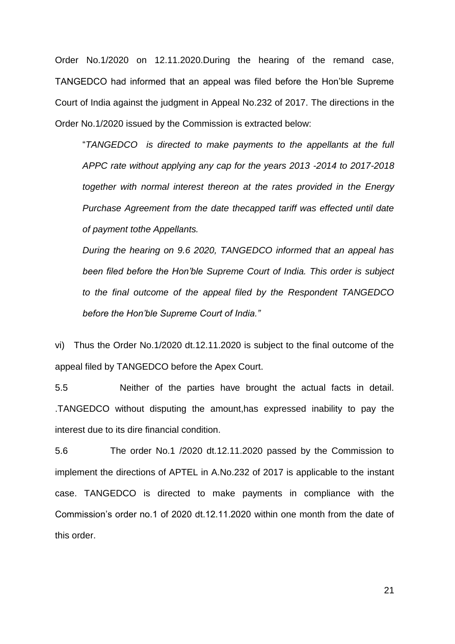Order No.1/2020 on 12.11.2020.During the hearing of the remand case, TANGEDCO had informed that an appeal was filed before the Hon'ble Supreme Court of India against the judgment in Appeal No.232 of 2017. The directions in the Order No.1/2020 issued by the Commission is extracted below:

"*TANGEDCO is directed to make payments to the appellants at the full APPC rate without applying any cap for the years 2013 -2014 to 2017-2018 together with normal interest thereon at the rates provided in the Energy Purchase Agreement from the date thecapped tariff was effected until date of payment tothe Appellants.*

*During the hearing on 9.6 2020, TANGEDCO informed that an appeal has been filed before the Hon'ble Supreme Court of India. This order is subject to the final outcome of the appeal filed by the Respondent TANGEDCO before the Hon'ble Supreme Court of India."*

vi) Thus the Order No.1/2020 dt.12.11.2020 is subject to the final outcome of the appeal filed by TANGEDCO before the Apex Court.

5.5 Neither of the parties have brought the actual facts in detail. .TANGEDCO without disputing the amount,has expressed inability to pay the interest due to its dire financial condition.

5.6 The order No.1 /2020 dt.12.11.2020 passed by the Commission to implement the directions of APTEL in A.No.232 of 2017 is applicable to the instant case. TANGEDCO is directed to make payments in compliance with the Commission's order no.1 of 2020 dt.12.11.2020 within one month from the date of this order.